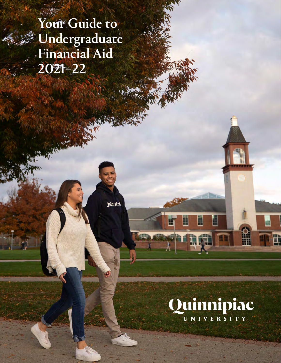Your Guide to Undergraduate Financial Aid 2021–22

**Juinnipi** 

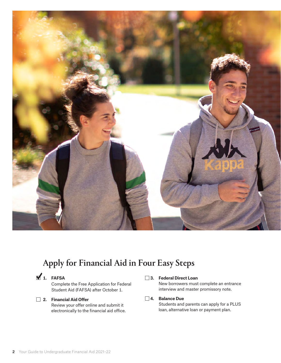

# Apply for Financial Aid in Four Easy Steps

**1. FAFSA** 

Complete the Free Application for Federal Student Aid (FAFSA) after October 1.

# **2. Financial Aid Offer**

Review your offer online and submit it electronically to the financial aid office.

# **3. Federal Direct Loan**

New borrowers must complete an entrance interview and master promissory note.

# **4. Balance Due**

Students and parents can apply for a PLUS loan, alternative loan or payment plan.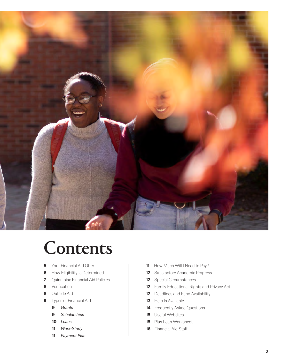

# Contents

- [Your Financial Aid Offer](#page-4-0)
- [How Eligibility Is Determined](#page-5-0)
- [Quinnipiac Financial Aid Policies](#page-6-0)
- [Verification](#page-7-0)
- [Outside Aid](#page-7-0)
- [Types of Financial Aid](#page-8-0)
	- *[Grants](#page-8-0)*
	- *[Scholarships](#page-8-0)*
	- *[Loans](#page-9-0)*
	- *[Work-Study](#page-10-0)*
	- *[Payment Plan](#page-10-0)*
- [How Much Will I Need to Pay?](#page-10-0)
- [Satisfactory Academic Progress](#page-11-0)
- [Special Circumstances](#page-11-0)
- [Family Educational Rights and Privacy Act](#page-11-0)
- [Deadlines and Fund Availability](#page-11-0)
- [Help Is Available](#page-12-0)
- [Frequently Asked Questions](#page-13-0)
- [Useful Websites](#page-14-0)
- [Plus Loan Worksheet](#page-14-0)
- [Financial Aid Staff](#page-15-0)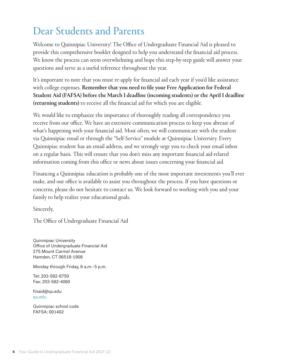# Dear Students and Parents

Welcome to Quinnipiac University! The Office of Undergraduate Financial Aid is pleased to provide this comprehensive booklet designed to help you understand the financial aid process. We know the process can seem overwhelming and hope this step-by-step guide will answer your questions and serve as a useful reference throughout the year.

It's important to note that you must re-apply for financial aid each year if you'd like assistance with college expenses. Remember that you need to file your Free Application for Federal Student Aid (FAFSA) before the March 1 deadline (incoming students) or the April 1 deadline (returning students) to receive all the financial aid for which you are eligible.

We would like to emphasize the importance of thoroughly reading all correspondence you receive from our office. We have an extensive communication process to keep you abreast of what's happening with your financial aid. Most often, we will communicate with the student via Quinnipiac email or through the "Self-Service" module at Quinnipiac University. Every Quinnipiac student has an email address, and we strongly urge you to check your email inbox on a regular basis. This will ensure that you don't miss any important financial aid-related information coming from this office or news about issues concerning your financial aid.

Financing a Quinnipiac education is probably one of the most important investments you'll ever make, and our office is available to assist you throughout the process. If you have questions or concerns, please do not hesitate to contact us. We look forward to working with you and your family to help realize your educational goals.

Sincerely,

The Office of Undergraduate Financial Aid

Quinnipiac University Office of Undergraduate Financial Aid 275 Mount Carmel Avenue Hamden, CT 06518-1908

Monday through Friday, 8 a.m.–5 p.m.

Tel: 203-582-8750 Fax: 203-582-4060

[finaid@qu.edu](mailto:finaid%40qu.edu?subject=) [qu.edu](http://qu.edu)

Quinnipiac school code FAFSA: 001402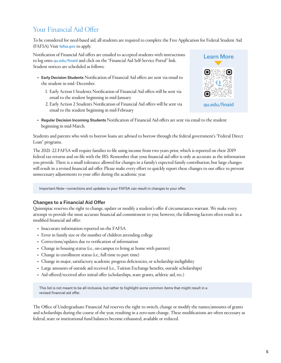# <span id="page-4-0"></span>Your Financial Aid Offer

To be considered for need-based aid, all students are required to complete the Free Application for Federal Student Aid (FAFSA). Visit [fafsa.gov](http://fafsa.gov) to apply.

Notification of Financial Aid offers are emailed to accepted students with instructions to log onto [qu.edu/finaid](http://qu.edu/finaid) and click on the "Financial Aid Self-Service Portal" link. Student notices are scheduled as follows:

- Early Decision Students Notification of Financial Aid offers are sent via email to the student in mid–December.
	- 1. Early Action 1 Students Notification of Financial Aid offers will be sent via email to the student beginning in mid-January
	- 2. Early Action 2 Students Notification of Financial Aid offers will be sent via email to the student beginning in mid-February



• Regular Decision Incoming Students Notification of Financial Aid offers are sent via email to the student beginning in mid-March.

Students and parents who wish to borrow loans are advised to borrow through the federal government's "Federal Direct Loan" programs.

The 2021–22 FAFSA will require families to file using income from two years prior, which is reported on their 2019 federal tax returns and on file with the IRS. Remember that your financial aid offer is only as accurate as the information you provide. There is a small tolerance allowed for changes in a family's expected family contribution, but large changes will result in a revised financial aid offer. Please make every effort to quickly report these changes to our office to prevent unnecessary adjustments to your offer during the academic year.

Important Note—corrections and updates to your FAFSA can result in changes to your offer.

# Changes to a Financial Aid Offer

Quinnipiac reserves the right to change, update or modify a student's offer if circumstances warrant. We make every attempt to provide the most accurate financial aid commitment to you; however, the following factors often result in a modified financial aid offer:

- Inaccurate information reported on the FAFSA
- Error in family size or the number of children attending college
- Corrections/updates due to verification of information
- Change in housing status (i.e., on-campus to living at home with parents)
- Change in enrollment status (i.e., full time to part time)
- Change in major, satisfactory academic progress deficiencies, or scholarship ineligibility
- Large amounts of outside aid received (i.e., Tuition Exchange benefits, outside scholarships)
- Aid offered/received after initial offer (scholarships, state grants, athletic aid, etc.)

This list is not meant to be all-inclusive, but rather to highlight some common items that might result in a revised financial aid offer.

The Office of Undergraduate Financial Aid reserves the right to switch, change or modify the names/amounts of grants and scholarships during the course of the year, resulting in a zero-sum change. These modifications are often necessary as federal, state or institutional fund balances become exhausted, available or reduced.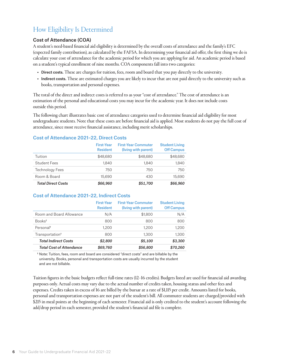# <span id="page-5-0"></span>How Eligibility Is Determined

# Cost of Attendance (COA)

A student's need-based financial aid eligibility is determined by the overall costs of attendance and the family's EFC (expected family contribution), as calculated by the FAFSA. In determining your financial aid offer, the first thing we do is calculate your cost of attendance for the academic period for which you are applying for aid. An academic period is based on a student's typical enrollment of nine months. COA components fall into two categories:

- Direct costs. These are charges for tuition, fees, room and board that you pay directly to the university.
- Indirect costs. These are estimated charges you are likely to incur that are not paid directly to the university such as books, transportation and personal expenses.

The total of the direct and indirect costs is referred to as your "cost of attendance." The cost of attendance is an estimation of the personal and educational costs you may incur for the academic year. It does not include costs outside this period.

The following chart illustrates basic cost of attendance categories used to determine financial aid eligibility for most undergraduate students. Note that these costs are before financial aid is applied. Most students do not pay the full cost of attendance, since most receive financial assistance, including merit scholarships.

#### Cost of Attendance 2021–22, Direct Costs

|                           | <b>First-Year</b><br><b>Resident</b> | <b>First-Year Commuter</b><br>(living with parent) | <b>Student Living</b><br><b>Off Campus</b> |
|---------------------------|--------------------------------------|----------------------------------------------------|--------------------------------------------|
| Tuition                   | \$48,680                             | \$48,680                                           | \$48,680                                   |
| <b>Student Fees</b>       | 1.840                                | 1.840                                              | 1,840                                      |
| <b>Technology Fees</b>    | 750                                  | 750                                                | 750                                        |
| Room & Board              | 15,690                               | 430                                                | 15,690                                     |
| <b>Total Direct Costs</b> | \$66,960                             | \$51,700                                           | \$66,960                                   |

# Cost of Attendance 2021–22, Indirect Costs

|                                 | <b>First-Year</b><br><b>Resident</b> | <b>First-Year Commuter</b><br>(living with parent) | <b>Student Living</b><br><b>Off Campus</b> |
|---------------------------------|--------------------------------------|----------------------------------------------------|--------------------------------------------|
| Room and Board Allowance        | N/A                                  | \$1,800                                            | N/A                                        |
| Books <sup>t</sup>              | 800                                  | 800                                                | 800                                        |
| Personal <sup>t</sup>           | 1.200                                | 1,200                                              | 1,200                                      |
| Transportation <sup>†</sup>     | 800                                  | 1,300                                              | 1,300                                      |
| <b>Total Indirect Costs</b>     | \$2,800                              | \$5,100                                            | \$3,300                                    |
| <b>Total Cost of Attendance</b> | \$69,760                             | \$56,800                                           | \$70,260                                   |

† Note: Tuition, fees, room and board are considered "direct costs" and are billable by the university. Books, personal and transportation costs are usually incurred by the student and are not billable.

Tuition figures in the basic budgets reflect full-time rates (12–16 credits). Budgets listed are used for financial aid awarding purposes only. Actual costs may vary due to the actual number of credits taken, housing status and other fees and expenses. Credits taken in excess of 16 are billed by the bursar at a rate of \$1,115 per credit. Amounts listed for books, personal and transportation expenses are not part of the student's bill. All commuter students are charged/provided with \$215 in meal points at the beginning of each semester. Financial aid is only credited to the student's account following the add/drop period in each semester, provided the student's financial aid file is complete.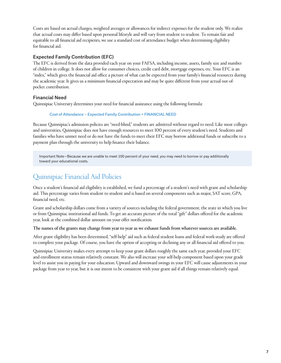<span id="page-6-0"></span>Costs are based on actual charges, weighted averages or allowances for indirect expenses for the student only. We realize that actual costs may differ based upon personal lifestyle and will vary from student to student. To remain fair and equitable to all financial aid recipients, we use a standard cost of attendance budget when determining eligibility for financial aid.

# Expected Family Contribution (EFC)

The EFC is derived from the data provided each year on your FAFSA, including income, assets, family size and number of children in college. It does not allow for consumer choices, credit card debt, mortgage expenses, etc. Your EFC is an "index," which gives the financial aid office a picture of what can be expected from your family's financial resources during the academic year. It gives us a minimum financial expectation and may be quite different from your actual out-ofpocket contribution.

# Financial Need

Quinnipiac University determines your need for financial assistance using the following formula:

#### Cost of Attendance − Expected Family Contribution = FINANCIAL NEED

Because Quinnipiac's admission policies are "need-blind," students are admitted without regard to need. Like most colleges and universities, Quinnipiac does not have enough resources to meet 100 percent of every student's need. Students and families who have unmet need or do not have the funds to meet their EFC may borrow additional funds or subscribe to a payment plan through the university to help finance their balance.

Important Note—Because we are unable to meet 100 percent of your need, you may need to borrow or pay additionally toward your educational costs.

# Quinnipiac Financial Aid Policies

Once a student's financial aid eligibility is established, we fund a percentage of a student's need with grant and scholarship aid. This percentage varies from student to student and is based on several components such as major, SAT score, GPA, financial need, etc.

Grant and scholarship dollars come from a variety of sources including the federal government, the state in which you live or from Quinnipiac institutional aid funds. To get an accurate picture of the total "gift" dollars offered for the academic year, look at the combined dollar amount on your offer notification.

The names of the grants may change from year to year as we exhaust funds from whatever sources are available.

After grant eligibility has been determined, "self-help" aid such as federal student loans and federal work-study are offered to complete your package. Of course, you have the option of accepting or declining any or all financial aid offered to you.

Quinnipiac University makes every attempt to keep your grant dollars roughly the same each year, provided your EFC and enrollment status remain relatively constant. We also will increase your self-help component based upon your grade level to assist you in paying for your education. Upward and downward swings in your EFC will cause adjustments in your package from year to year, but it is our intent to be consistent with your grant aid if all things remain relatively equal.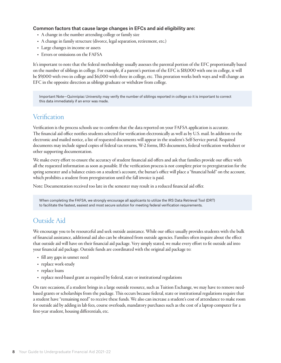#### <span id="page-7-0"></span>Common factors that cause large changes in EFCs and aid eligibility are:

- A change in the number attending college or family size
- A change in family structure (divorce, legal separation, retirement, etc.)
- Large changes in income or assets
- Errors or omissions on the FAFSA

It's important to note that the federal methodology usually assesses the parental portion of the EFC proportionally based on the number of siblings in college. For example, if a parent's portion of the EFC is \$18,000 with one in college, it will be \$9,000 with two in college and \$6,000 with three in college, etc. This proration works both ways and will change an EFC in the opposite direction as siblings graduate or withdraw from college.

Important Note—Quinnipiac University may verify the number of siblings reported in college so it is important to correct this data immediately if an error was made.

# **Verification**

Verification is the process schools use to confirm that the data reported on your FAFSA application is accurate. The financial aid office notifies students selected for verification electronically as well as by U.S. mail. In addition to the electronic and mailed notice, a list of requested documents will appear in the student's Self-Service portal. Required documents may include signed copies of federal tax returns, W-2 forms, IRS documents, federal verification worksheet or other supporting documentation.

We make every effort to ensure the accuracy of student financial aid offers and ask that families provide our office with all the requested information as soon as possible. If the verification process is not complete prior to preregistration for the spring semester and a balance exists on a student's account, the bursar's office will place a "financial hold" on the account, which prohibits a student from preregistration until the fall invoice is paid.

Note: Documentation received too late in the semester may result in a reduced financial aid offer.

When completing the FAFSA, we strongly encourage all applicants to utilize the IRS Data Retrieval Tool (DRT) to facilitate the fastest, easiest and most secure solution for meeting federal verification requirements.

# Outside Aid

We encourage you to be resourceful and seek outside assistance. While our office usually provides students with the bulk of financial assistance, additional aid also can be obtained from outside agencies. Families often inquire about the effect that outside aid will have on their financial aid package. Very simply stated, we make every effort to fit outside aid into your financial aid package. Outside funds are coordinated with the original aid package to:

- fill any gaps in unmet need
- replace work-study
- replace loans
- replace need-based grant as required by federal, state or institutional regulations

On rare occasions, if a student brings in a large outside resource, such as Tuition Exchange, we may have to remove needbased grants or scholarships from the package. This occurs because federal, state or institutional regulations require that a student have "remaining need" to receive these funds. We also can increase a student's cost of attendance to make room for outside aid by adding in lab fees, course overloads, mandatory purchases such as the cost of a laptop computer for a first-year student, housing differentials, etc.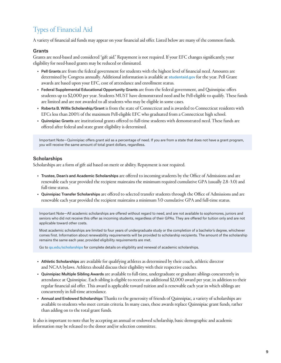# <span id="page-8-0"></span>Types of Financial Aid

A variety of financial aid funds may appear on your financial aid offer. Listed below are many of the common funds.

# **Grants**

Grants are need-based and considered "gift aid." Repayment is not required. If your EFC changes significantly, your eligibility for need-based grants may be reduced or eliminated.

- Pell Grants are from the federal government for students with the highest level of financial need. Amounts are determined by Congress annually. Additional information is available at [studentaid.gov](http://studentaid.gov) for the year. Pell Grant awards are based upon your EFC, cost of attendance and enrollment status.
- Federal Supplemental Educational Opportunity Grants are from the federal government, and Quinnipiac offers students up to \$2,000 per year. Students MUST have demonstrated need and be Pell-eligible to qualify. These funds are limited and are not awarded to all students who may be eligible in some cases.
- Roberta B. Willis Scholarship/Grant is from the state of Connecticut and is awarded to Connecticut residents with EFCs less than 200% of the maximum Pell-eligible EFC who graduated from a Connecticut high school.
- Quinnipiac Grants are institutional grants offered to full-time students with demonstrated need. These funds are offered after federal and state grant eligibility is determined.

Important Note—Quinnipiac offers grant aid as a percentage of need. If you are from a state that does not have a grant program, you will receive the same amount of total grant dollars, regardless.

# **Scholarships**

Scholarships are a form of gift aid based on merit or ability. Repayment is not required.

- Trustee, Dean's and Academic Scholarships are offered to incoming students by the Office of Admissions and are renewable each year provided the recipient maintains the minimum required cumulative GPA (usually 2.8–3.0) and full-time status.
- Quinnipiac Transfer Scholarships are offered to selected transfer students through the Office of Admissions and are renewable each year provided the recipient maintains a minimum 3.0 cumulative GPA and full-time status.

Important Note—All academic scholarships are offered without regard to need, and are not available to sophomores, juniors and seniors who did not receive this offer as incoming students, regardless of their GPAs. They are offered for tuition only and are not applicable toward other costs.

Most academic scholarships are limited to four years of undergraduate study or the completion of a bachelor's degree, whichever comes first. Information about renewability requirements will be provided to scholarship recipients. The amount of the scholarship remains the same each year, provided eligibility requirements are met.

Go to [qu.edu/scholarships](http://qu.edu/scholarships) for complete details on eligibility and renewal of academic scholarships.

- Athletic Scholarships are available for qualifying athletes as determined by their coach, athletic director and NCAA bylaws. Athletes should discuss their eligibility with their respective coaches.
- Quinnipiac Multiple Sibling Awards are available to full-time, undergraduate or graduate siblings concurrently in attendance at Quinnipiac. Each sibling is eligible to receive an additional \$2,000 award per year, in addition to their regular financial aid offer. This award is applicable toward tuition and is renewable each year in which siblings are concurrently in full-time attendance.
- Annual and Endowed Scholarships Thanks to the generosity of friends of Quinnipiac, a variety of scholarships are available to students who meet certain criteria. In many cases, these awards replace Quinnipiac grant funds, rather than adding on to the total grant funds.

It also is important to note that by accepting an annual or endowed scholarship, basic demographic and academic information may be released to the donor and/or selection committee.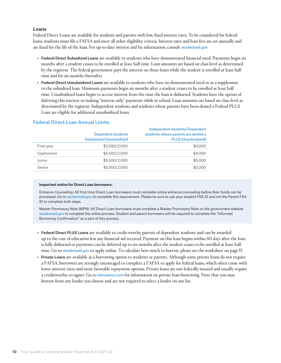#### <span id="page-9-0"></span>Loans

Federal Direct Loans are available for students and parents with low, fixed interest rates. To be considered for federal loans, students must file a FAFSA and meet all other eligibility criteria. Interest rates and loan fees are set annually and are fixed for the life of the loan. For up-to-date interest and fee information, consult [studentaid.gov](http://studentaid.gov)

- Federal Direct Subsidized Loans are available to students who have demonstrated financial need. Payments begin six months after a student ceases to be enrolled at least half time. Loan amounts are based on class level as determined by the registrar. The federal government pays the interest on these loans while the student is enrolled at least half time and for six months thereafter.
- Federal Direct Unsubsidized Loans are available to students who have no demonstrated need or as a supplement to the subsidized loan. Minimum payments begin six months after a student ceases to be enrolled at least half time. Unsubsidized loans begin to accrue interest from the time the loan is disbursed. Students have the option of deferring this interest or making "interest only" payments while in school. Loan amounts are based on class level as determined by the registrar. Independent students and students whose parents have been denied a Federal PLUS Loan are eligible for additional unsubsidized loans.

|            | <b>Dependent students</b><br>Subsidized/Unsubsidized | <b>Independent students/Dependent</b><br>students whose parents are denied a<br><b>PLUS (Unsubsidized)</b> |
|------------|------------------------------------------------------|------------------------------------------------------------------------------------------------------------|
| First-year | \$3,500/2,000                                        | \$4,000                                                                                                    |
| Sophomore  | \$4,500/2,000                                        | \$4,000                                                                                                    |
| Junior     | \$5,500/2,000                                        | \$5,000                                                                                                    |
| Senior     | \$5,500/2,000                                        | \$5,000                                                                                                    |

# Federal Direct Loan Annual Limits

#### **Important notice for Direct Loan borrowers:**

Entrance Counseling: All first-time Direct Loan borrowers must complete online entrance counseling before their funds can be processed. Go to [studentaid.gov](http://studentaid.gov) to complete this requirement. Please be sure to use your student FSA ID and not the Parent FSA ID to complete both steps.

Master Promissory Note (MPN): All Direct Loan borrowers must complete a Master Promissory Note on the government website [studentaid.gov](http://studentaid.gov) to complete the online process. Student and parent borrowers will be required to complete the "Informed Borrowing Confirmation" as a part of this process.

- Federal Direct PLUS Loans are available to credit-worthy parents of dependent students and can be awarded up to the cost of education less any financial aid received. Payment on this loan begins within 60 days after the loan is fully disbursed or payments can be deferred up to six months after the student ceases to be enrolled at least half time. Go to [studentaid.gov](http://studentaid.gov) to apply online. To calculate how much to borrow, please see the worksheet on page 15.
- Private Loans are available as a borrowing option to students or parents. Although some private loans do not require a FAFSA, borrowers are strongly encouraged to complete a FAFSA to apply for federal loans, which often come with lower interest rates and more favorable repayment options. Private loans are not federally insured and usually require a creditworthy co-signer. Go to [elmselect.com](http://elmselect.com) for information on private loan borrowing. Note that you may borrow from any lender you choose and are not required to select a lender on our list.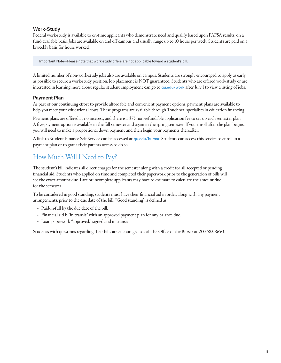# <span id="page-10-0"></span>Work-Study

Federal work-study is available to on-time applicants who demonstrate need and qualify based upon FAFSA results, on a fund-available basis. Jobs are available on and off campus and usually range up to 10 hours per week. Students are paid on a biweekly basis for hours worked.

Important Note—Please note that work-study offers are not applicable toward a student's bill.

A limited number of non-work-study jobs also are available on campus. Students are strongly encouraged to apply as early as possible to secure a work-study position. Job placement is NOT guaranteed. Students who are offered work-study or are interested in learning more about regular student employment can go to [qu.edu/work](http://www.QU.edu/work) after July 1 to view a listing of jobs.

# Payment Plan

As part of our continuing effort to provide affordable and convenient payment options, payment plans are available to help you meet your educational costs. These programs are available through Touchnet, specialists in education financing.

Payment plans are offered at no interest, and there is a \$75 non-refundable application fee to set up each semester plan. A five-payment option is available in the fall semester and again in the spring semester. If you enroll after the plan begins, you will need to make a proportional down payment and then begin your payments thereafter.

A link to Student Finance Self Service can be accessed at [qu.edu/bursar](http://qu.edu/bursar). Students can access this service to enroll in a payment plan or to grant their parents access to do so.

# How Much Will I Need to Pay?

The student's bill indicates all direct charges for the semester along with a credit for all accepted or pending financial aid. Students who applied on time and completed their paperwork prior to the generation of bills will see the exact amount due. Late or incomplete applicants may have to estimate to calculate the amount due for the semester.

To be considered in good standing, students must have their financial aid in order, along with any payment arrangements, prior to the due date of the bill. "Good standing" is defined as:

- Paid-in-full by the due date of the bill.
- Financial aid is "in transit" with an approved payment plan for any balance due.
- Loan paperwork "approved," signed and in transit.

Students with questions regarding their bills are encouraged to call the Office of the Bursar at 203-582-8650.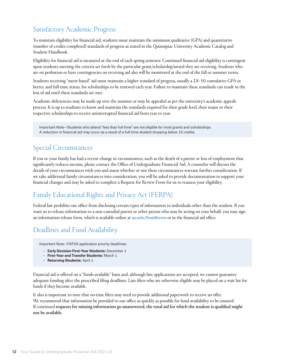# <span id="page-11-0"></span>Satisfactory Academic Progress

To maintain eligibility for financial aid, students must maintain the minimum qualitative (GPA) and quantitative (number of credits completed) standards of progress as stated in the Quinnipiac University Academic Catalog and Student Handbook.

Eligibility for financial aid is measured at the end of each spring semester. Continued financial aid eligibility is contingent upon students meeting the criteria set forth by the particular grant/scholarship/award they are receiving. Students who are on probation or have contingencies on receiving aid also will be monitored at the end of the fall or summer terms.

Students receiving "merit-based" aid must maintain a higher standard of progress, usually a 2.8–3.0 cumulative GPA or better, and full-time status, for scholarships to be renewed each year. Failure to maintain these standards can result in the loss of aid until these standards are met.

Academic deficiencies may be made up over the summer or may be appealed as per the university's academic appeals process. It is up to students to know and maintain the standards required for their grade level, their major or their respective scholarships to receive uninterrupted financial aid from year to year.

Important Note—Students who attend "less than full time" are not eligible for most grants and scholarships. A reduction in financial aid may occur as a result of a full-time student dropping below 12 credits.

# Special Circumstances

If you or your family has had a recent change in circumstances, such as the death of a parent or loss of employment that significantly reduces income, please contact the Office of Undergraduate Financial Aid. A counselor will discuss the details of your circumstances with you and assess whether or not these circumstances warrant further consideration. If we take additional family circumstances into consideration, you will be asked to provide documentation to support your financial changes and may be asked to complete a Request for Review Form for us to reassess your eligibility.

# Family Educational Rights and Privacy Act (FERPA)

Federal law prohibits our office from disclosing certain types of information to individuals other than the student. If you want us to release information to a non-custodial parent or other person who may be acting on your behalf, you may sign an information release form, which is available online at quedu/finaidforms or in the financial aid office.

# Deadlines and Fund Availability

Important Note—FAFSA application priority deadlines:

- **Early Decision First-Year Students:** December 1
- **First-Year and Transfer Students:** March 1
- **Returning Students:** April 1

Financial aid is offered on a "funds-available" basis and, although late applications are accepted, we cannot guarantee adequate funding after the prescribed filing deadlines. Late filers who are otherwise eligible may be placed on a wait list for funds if they become available.

It also is important to note that on-time filers may need to provide additional paperwork to receive an offer. We recommend that information be provided to our office as quickly as possible for fund availability to be ensured. If continued requests for missing information go unanswered, the total aid for which the student is qualified might not be available.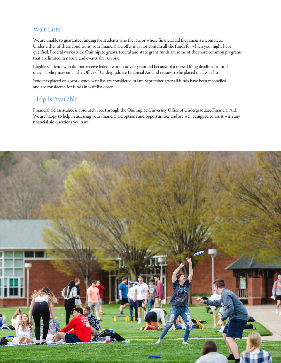# <span id="page-12-0"></span>Wait Lists

We are unable to guarantee funding for students who file late or whose financial aid file remains incomplete. Under either of these conditions, your financial aid offer may not contain all the funds for which you might have qualified. Federal work-study, Quinnipiac grants, federal and state grant funds are some of the more common programs that are limited in nature and eventually run out.

Eligible students who did not receive federal work-study or grant aid because of a missed filing deadline or fund unavailability may email the Office of Undergraduate Financial Aid and request to be placed on a wait list.

Students placed on a work-study wait list are considered in late September after all funds have been reconciled and are considered for funds in wait list order.

# Help Is Available

Financial aid assistance is absolutely free through the Quinnipiac University Office of Undergraduate Financial Aid. We are happy to help in assessing your financial aid options and opportunities and are well equipped to assist with any financial aid questions you have.

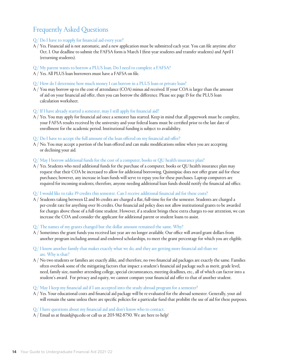# <span id="page-13-0"></span>Frequently Asked Questions

- Q/ Do I have to reapply for financial aid every year?
- A / Yes. Financial aid is not automatic, and a new application must be submitted each year. You can file anytime after Oct. 1. Our deadline to submit the FAFSA form is March 1 (first-year students and transfer students) and April 1 (returning students).
- Q/ My parent wants to borrow a PLUS loan. Do I need to complete a FAFSA?
- A / Yes. All PLUS loan borrowers must have a FAFSA on file.
- Q/ How do I determine how much money I can borrow in a PLUS loan or private loan?
- A / You may borrow up to the cost of attendance (COA) minus aid received. If your COA is larger than the amount of aid on your financial aid offer, then you can borrow the difference. Please see page 15 for the PLUS loan calculation worksheet.
- Q/ If I have already started a semester, may I still apply for financial aid?
- A / Yes. You may apply for financial aid once a semester has started. Keep in mind that all paperwork must be complete, your FAFSA results received by the university and your federal loans must be certified prior to the last date of enrollment for the academic period. Institutional funding is subject to availability.
- Q/ Do I have to accept the full amount of the loan offered on my financial aid offer?
- A / No. You may accept a portion of the loan offered and can make modifications online when you are accepting or declining your aid.

#### Q/ May I borrow additional funds for the cost of a computer, books or QU health insurance plan?

A / Yes. Students who need additional funds for the purchase of a computer, books or QU health insurance plan may request that their COA be increased to allow for additional borrowing. Quinnipiac does not offer grant aid for these purchases; however, any increase in loan funds will serve to repay you for these purchases. Laptop computers are required for incoming students; therefore, anyone needing additional loan funds should notify the financial aid office.

#### Q/ I would like to take 19 credits this semester. Can I receive additional financial aid for these costs?

- A / Students taking between 12 and 16 credits are charged a flat, full-time fee for the semester. Students are charged a per-credit rate for anything over 16 credits. Our financial aid policy does not allow institutional grants to be awarded for charges above those of a full-time student. However, if a student brings these extra charges to our attention, we can increase the COA and consider the applicant for additional parent or student loans to assist.
- Q/ The names of my grants changed but the dollar amount remained the same. Why?
- A / Sometimes the grant funds you received last year are no longer available. Our office will award grant dollars from another program including annual and endowed scholarships, to meet the grant percentage for which you are eligible.
- Q/ I know another family that makes exactly what we do, and they are getting more financial aid than we are. Why is that?
- A / No two students or families are exactly alike, and therefore, no two financial aid packages are exactly the same. Families often overlook some of the mitigating factors that impact a student's financial aid package such as merit, grade level, need, family size, number attending college, special circumstances, meeting deadlines, etc., all of which can factor into a student's award. For privacy and equity, we cannot compare your financial aid offer to that of another student.
- Q/ May I keep my financial aid if I am accepted into the study-abroad program for a semester?
- A / Yes. Your educational costs and financial aid package will be re-evaluated for the abroad semester. Generally, your aid will remain the same unless there are specific policies for a particular fund that prohibit the use of aid for these purposes.
- Q/ I have questions about my financial aid and don't know who to contact.
- A / Email us at [finaid@qu.edu](mailto:finaid%40qu.edu?subject=) or call us at 203-582-8750. We are here to help!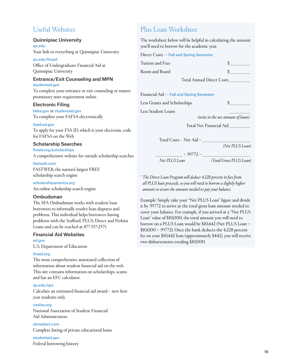# <span id="page-14-0"></span>Useful Websites

#### Quinnipiac University

[qu.edu](http://www.QU.edu) Your link to everything at Quinnipiac University

[qu.edu/finaid](http://www.QU.edu/finaid) Office of Undergraduate Financial Aid at Quinnipiac University

# Entrance/Exit Counseling and MPN

[studentaid.gov](http://studentaid.gov)

To complete your entrance or exit counseling or master promissory note requirement online

#### Electronic Filing

[fafsa.gov](http://www.fafsa.gov) or [studentaid.gov](http://studentaid.gov) To complete your FAFSA electronically

#### [fsaid.ed.gov](http://fsaid.ed.gov)

To apply for your FSA ID, which is your electronic code for FAFSA on the Web

#### Scholarship Searches

[finaid.org/scholarships](http://www.finaid.org/scholarships) A comprehensive website for outside scholarship search

#### [fastweb.com](http://www.fastweb.com)

FASTWEB, the nation's largest FREE scholarship search engine

[scholarshipamerica.org](http://scholarshipamerica.org) An online scholarship search engine

#### Ombudsman

The SFA Ombudsman works with student loan borrowers to informally resolve loan disputes and problems. This individual helps borrowers having problems with the Stafford, PLUS, Direct and Perkins Loans and can be reached at 877-557-2575.

# Financial Aid Websites

[ed.gov](http://www.ed.gov) U.S. Department of Education

#### [finaid.org](http://www.finaid.org)

The most comprehensive annotated collection of information about student financial aid on the web. This site contains information on scholarships, scams and has an EFC calculator.

#### [qu.edu/npc](http://www.QU.edu/npc)

Calculate an estimated financial aid award— new firstyear students only

[nasfaa.org](http://www.nasfaa.org) National Association of Student Financial Aid Administrators

[elmselect.com](http://www.elmselect.com) Complete listing of private educational loans

[studentaid.gov](http://studentaid.gov) Federal borrowing history

# Plus Loan Worksheet

The worksheet below will be helpful in calculating the amount you'll need to borrow for the academic year.

|     | Direct Costs – Fall and Spring Semester  |                                    |
|-----|------------------------------------------|------------------------------------|
|     | Tuition and Fees                         | $\mathcal{S}$                      |
|     | Room and Board                           | \$                                 |
|     |                                          | Total Annual Direct Costs          |
| r   | Financial Aid - Fall and Spring Semester |                                    |
|     | Less Grants and Scholarships             | S.                                 |
|     | Less Student Loans                       |                                    |
|     |                                          | (write in the net amount of loans) |
|     |                                          | Total Net Financial Aid _________  |
| e   |                                          |                                    |
|     | Total Costs - Net Aid =                  |                                    |
|     |                                          | (Net PLUS Loan)                    |
| ies | $\div$ 95772 =                           |                                    |
|     | Net PLUS Loan                            | (Total Gross PLUS Loan)            |
|     |                                          |                                    |

*\* The Direct Loan Program will deduct 4.228 percent in fees from all PLUS loan proceeds, so you will need to borrow a slightly higher amount to secure the amount needed to pay your balance.*

Example: Simply take your "Net PLUS Loan" figure and divide it by .95772 to arrive at the total gross loan amount needed to cover your balance. For example, if you arrived at a "Net PLUS Loan" value of \$10,000, the total amount you will need to borrow on a PLUS Loan would be \$10,442 (Net PLUS Loan =  $$10,000 \div .95772$ ). Once the bank deducts the 4.228 percent fee on your \$10,442 loan (approximately \$442), you will receive two disbursements totaling \$10,000.